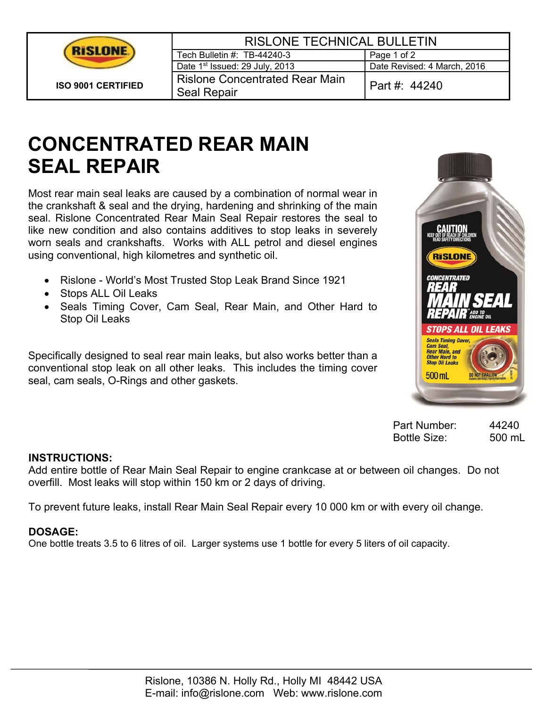

| <b>RISLONE TECHNICAL BULLETIN</b>                    |                             |  |
|------------------------------------------------------|-----------------------------|--|
| Tech Bulletin #: TB-44240-3                          | Page 1 of 2                 |  |
| Date 1 <sup>st</sup> Issued: 29 July, 2013           | Date Revised: 4 March, 2016 |  |
| <b>Rislone Concentrated Rear Main</b><br>Seal Repair | Part #: 44240               |  |

# **CONCENTRATED REAR MAIN SEAL REPAIR**

Most rear main seal leaks are caused by a combination of normal wear in the crankshaft & seal and the drying, hardening and shrinking of the main seal. Rislone Concentrated Rear Main Seal Repair restores the seal to like new condition and also contains additives to stop leaks in severely worn seals and crankshafts. Works with ALL petrol and diesel engines using conventional, high kilometres and synthetic oil.

- Rislone World's Most Trusted Stop Leak Brand Since 1921
- Stops ALL Oil Leaks
- Seals Timing Cover, Cam Seal, Rear Main, and Other Hard to Stop Oil Leaks

Specifically designed to seal rear main leaks, but also works better than a conventional stop leak on all other leaks. This includes the timing cover seal, cam seals, O-Rings and other gaskets.



Part Number: 44240 Bottle Size: 500 mL

#### **INSTRUCTIONS:**

Add entire bottle of Rear Main Seal Repair to engine crankcase at or between oil changes. Do not overfill. Most leaks will stop within 150 km or 2 days of driving.

To prevent future leaks, install Rear Main Seal Repair every 10 000 km or with every oil change.

## **DOSAGE:**

One bottle treats 3.5 to 6 litres of oil. Larger systems use 1 bottle for every 5 liters of oil capacity.